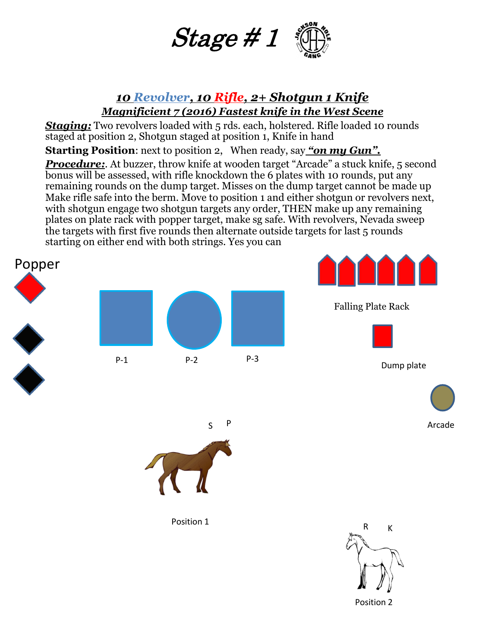

#### *10 Revolver, 10 Rifle, 2+ Shotgun 1 Knife Magnificient 7 (2016) Fastest knife in the West Scene*

**Staging:** Two revolvers loaded with 5 rds. each, holstered. Rifle loaded 10 rounds staged at position 2, Shotgun staged at position 1, Knife in hand

**Starting Position**: next to position 2, When ready, say *"on my Gun".* 

*Procedure:.* At buzzer, throw knife at wooden target "Arcade" a stuck knife, 5 second bonus will be assessed, with rifle knockdown the 6 plates with 10 rounds, put any remaining rounds on the dump target. Misses on the dump target cannot be made up Make rifle safe into the berm. Move to position 1 and either shotgun or revolvers next, with shotgun engage two shotgun targets any order, THEN make up any remaining plates on plate rack with popper target, make sg safe. With revolvers, Nevada sweep the targets with first five rounds then alternate outside targets for last 5 rounds starting on either end with both strings. Yes you can



Position 2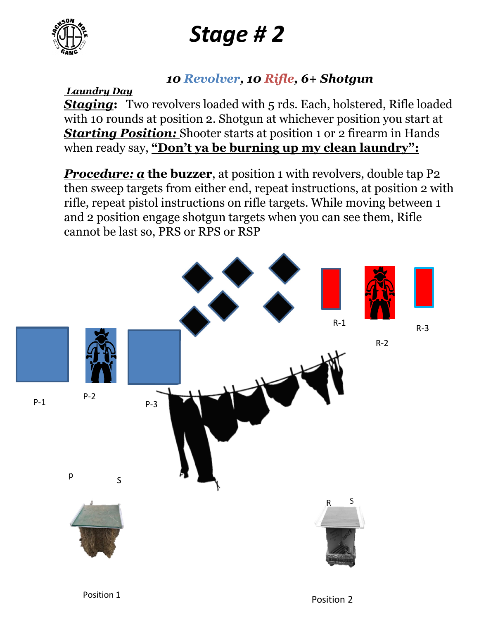

# *Stage # 2*

#### *10 Revolver, 10 Rifle, 6+ Shotgun*

*Laundry Day* 

**Staging:** Two revolvers loaded with 5 rds. Each, holstered, Rifle loaded with 10 rounds at position 2. Shotgun at whichever position you start at *Starting Position:* Shooter starts at position 1 or 2 firearm in Hands when ready say, **"Don't ya be burning up my clean laundry":**

**Procedure: a the buzzer**, at position 1 with revolvers, double tap P2 then sweep targets from either end, repeat instructions, at position 2 with rifle, repeat pistol instructions on rifle targets. While moving between 1 and 2 position engage shotgun targets when you can see them, Rifle cannot be last so, PRS or RPS or RSP

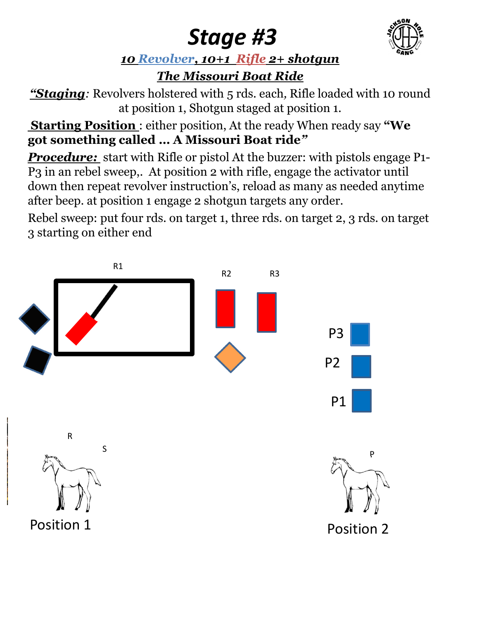### *Stage #3*



#### *10 Revolver, 10+1 Rifle 2+ shotgun*

### *The Missouri Boat Ride*

*"Staging:* Revolvers holstered with 5 rds. each*,* Rifle loaded with 10 round at position 1, Shotgun staged at position 1.

**Starting Position** : either position, At the ready When ready say **"We got something called … A Missouri Boat ride***"*

**Procedure:** start with Rifle or pistol At the buzzer: with pistols engage P1-P3 in an rebel sweep,. At position 2 with rifle, engage the activator until down then repeat revolver instruction's, reload as many as needed anytime after beep. at position 1 engage 2 shotgun targets any order.

Rebel sweep: put four rds. on target 1, three rds. on target 2, 3 rds. on target 3 starting on either end

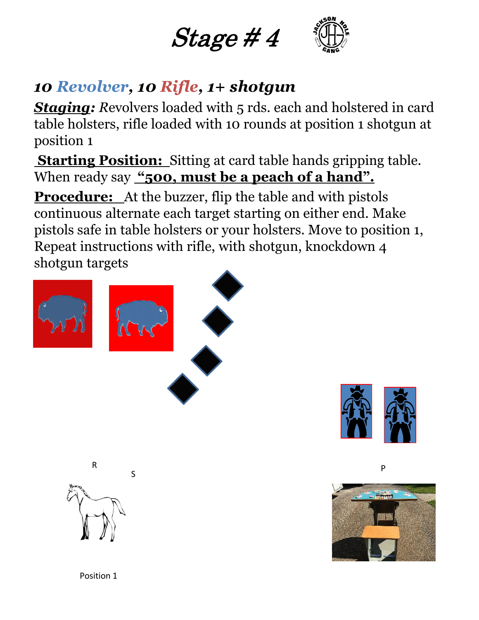



### *10 Revolver, 10 Rifle, 1+ shotgun*

**Staging:** Revolvers loaded with 5 rds. each and holstered in card table holsters, rifle loaded with 10 rounds at position 1 shotgun at position 1

**Starting Position:** Sitting at card table hands gripping table. When ready say "500, must be a peach of a hand".

**Procedure:** At the buzzer, flip the table and with pistols continuous alternate each target starting on either end. Make pistols safe in table holsters or your holsters. Move to position 1, Repeat instructions with rifle, with shotgun, knockdown 4 shotgun targets



S



P



Position 1

R